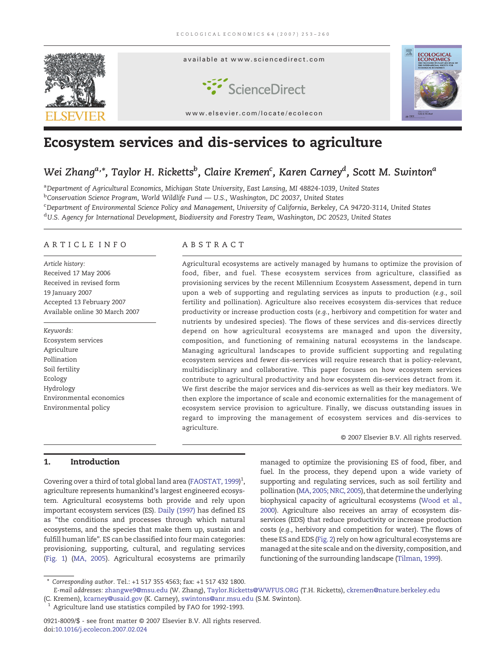

# Ecosystem services and dis-services to agriculture

## Wei Zhang<sup>a,</sup>\*, Taylor H. Ricketts<sup>b</sup>, Claire Kremen<sup>c</sup>, Karen Carney<sup>d</sup>, Scott M. Swinton<sup>a</sup>

<sup>a</sup>Department of Agricultural Economics, Michigan State University, East Lansing, MI 48824-1039, United States <sup>b</sup>Conservation Science Program, World Wildlife Fund — U.S., Washington, DC 20037, United States <sup>c</sup>Department of Environmental Science Policy and Management, University of California, Berkeley, CA 94720-3114, United States <sup>d</sup>U.S. Agency for International Development, Biodiversity and Forestry Team, Washington, DC 20523, United States

#### ARTICLE INFO ABSTRACT

Article history: Received 17 May 2006 Received in revised form 19 January 2007 Accepted 13 February 2007 Available online 30 March 2007

Keywords: Ecosystem services Agriculture Pollination Soil fertility Ecology Hydrology Environmental economics Environmental policy

Agricultural ecosystems are actively managed by humans to optimize the provision of food, fiber, and fuel. These ecosystem services from agriculture, classified as provisioning services by the recent Millennium Ecosystem Assessment, depend in turn upon a web of supporting and regulating services as inputs to production (e.g., soil fertility and pollination). Agriculture also receives ecosystem dis-services that reduce productivity or increase production costs (e.g., herbivory and competition for water and nutrients by undesired species). The flows of these services and dis-services directly depend on how agricultural ecosystems are managed and upon the diversity, composition, and functioning of remaining natural ecosystems in the landscape. Managing agricultural landscapes to provide sufficient supporting and regulating ecosystem services and fewer dis-services will require research that is policy-relevant, multidisciplinary and collaborative. This paper focuses on how ecosystem services contribute to agricultural productivity and how ecosystem dis-services detract from it. We first describe the major services and dis-services as well as their key mediators. We then explore the importance of scale and economic externalities for the management of ecosystem service provision to agriculture. Finally, we discuss outstanding issues in regard to improving the management of ecosystem services and dis-services to agriculture.

© 2007 Elsevier B.V. All rights reserved.

### 1. Introduction

Covering over a third of total global land area ([FAOSTAT, 1999](#page-6-0)) 1 , agriculture represents humankind's largest engineered ecosystem. Agricultural ecosystems both provide and rely upon important ecosystem services (ES). [Daily \(1997\)](#page-6-0) has defined ES as "the conditions and processes through which natural ecosystems, and the species that make them up, sustain and fulfill human life". ES can be classified into four main categories: provisioning, supporting, cultural, and regulating services [\(Fig. 1](#page-1-0)) [\(MA, 2005](#page-7-0)). Agricultural ecosystems are primarily

managed to optimize the provisioning ES of food, fiber, and fuel. In the process, they depend upon a wide variety of supporting and regulating services, such as soil fertility and pollination [\(MA, 2005; NRC, 2005\)](#page-7-0), that determine the underlying biophysical capacity of agricultural ecosystems ([Wood et al.,](#page-7-0) [2000](#page-7-0)). Agriculture also receives an array of ecosystem disservices (EDS) that reduce productivity or increase production costs (e.g., herbivory and competition for water). The flows of these ES and EDS ([Fig. 2](#page-1-0)) rely on how agricultural ecosystems are managed at the site scale and on the diversity, composition, and functioning of the surrounding landscape ([Tilman, 1999](#page-7-0)).

<sup>⁎</sup> Corresponding author. Tel.: +1 517 355 4563; fax: +1 517 432 1800.

E-mail addresses: [zhangwe9@msu.edu](mailto:zhangwe9@msu.edu) (W. Zhang), [Taylor.Ricketts@WWFUS.ORG](mailto:Taylor.Ricketts@WWFUS.ORG) (T.H. Ricketts), [ckremen@nature.berkeley.edu](mailto:ckremen@nature.berkeley.edu) (C. Kremen), [kcarney@usaid.gov](mailto:kcarney@usaid.gov) (K. Carney), [swintons@anr.msu.edu](mailto:swintons@anr.msu.edu) (S.M. Swinton).

Agriculture land use statistics compiled by FAO for 1992-1993.

<sup>0921-8009/\$ -</sup> see front matter © 2007 Elsevier B.V. All rights reserved. doi[:10.1016/j.ecolecon.2007.02.024](http://dx.doi.org/10.1016/j.ecolecon.2007.02.024)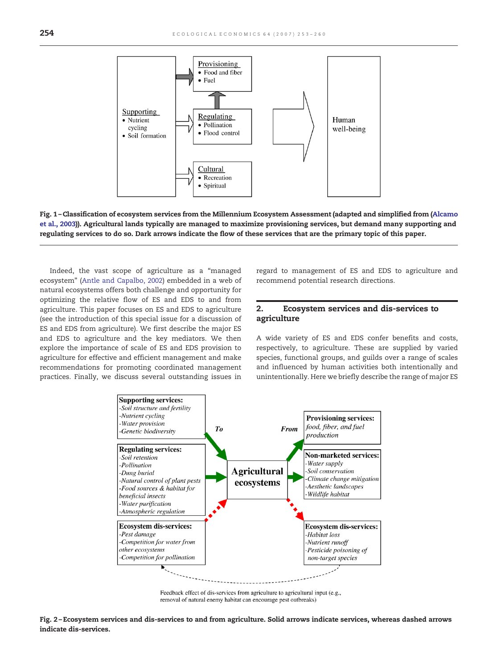<span id="page-1-0"></span>

Fig. 1 –Classification of ecosystem services from the Millennium Ecosystem Assessment (adapted and simplified from [\(Alcamo](#page-6-0) [et al., 2003\)](#page-6-0)). Agricultural lands typically are managed to maximize provisioning services, but demand many supporting and regulating services to do so. Dark arrows indicate the flow of these services that are the primary topic of this paper.

Indeed, the vast scope of agriculture as a "managed ecosystem" [\(Antle and Capalbo, 2002\)](#page-6-0) embedded in a web of natural ecosystems offers both challenge and opportunity for optimizing the relative flow of ES and EDS to and from agriculture. This paper focuses on ES and EDS to agriculture (see the introduction of this special issue for a discussion of ES and EDS from agriculture). We first describe the major ES and EDS to agriculture and the key mediators. We then explore the importance of scale of ES and EDS provision to agriculture for effective and efficient management and make recommendations for promoting coordinated management practices. Finally, we discuss several outstanding issues in

regard to management of ES and EDS to agriculture and recommend potential research directions.

#### 2. Ecosystem services and dis-services to agriculture

A wide variety of ES and EDS confer benefits and costs, respectively, to agriculture. These are supplied by varied species, functional groups, and guilds over a range of scales and influenced by human activities both intentionally and unintentionally. Here we briefly describe the range of major ES



Feedback effect of dis-services from agriculture to agricultural input (e.g., removal of natural enemy habitat can encourage pest outbreaks)

Fig. 2 – Ecosystem services and dis-services to and from agriculture. Solid arrows indicate services, whereas dashed arrows indicate dis-services.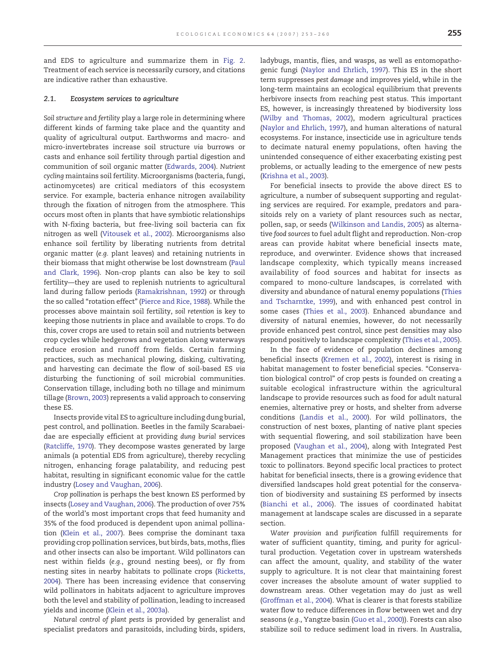and EDS to agriculture and summarize them in [Fig. 2.](#page-1-0) Treatment of each service is necessarily cursory, and citations are indicative rather than exhaustive.

#### 2.1. Ecosystem services to agriculture

Soil structure and fertility play a large role in determining where different kinds of farming take place and the quantity and quality of agricultural output. Earthworms and macro- and micro-invertebrates increase soil structure via burrows or casts and enhance soil fertility through partial digestion and communition of soil organic matter [\(Edwards, 2004\)](#page-6-0). Nutrient cycling maintains soil fertility. Microorganisms (bacteria, fungi, actinomycetes) are critical mediators of this ecosystem service. For example, bacteria enhance nitrogen availability through the fixation of nitrogen from the atmosphere. This occurs most often in plants that have symbiotic relationships with N-fixing bacteria, but free-living soil bacteria can fix nitrogen as well ([Vitousek et al., 2002\)](#page-7-0). Microorganisms also enhance soil fertility by liberating nutrients from detrital organic matter (e.g. plant leaves) and retaining nutrients in their biomass that might otherwise be lost downstream [\(Paul](#page-7-0) [and Clark, 1996\)](#page-7-0). Non-crop plants can also be key to soil fertility—they are used to replenish nutrients to agricultural land during fallow periods ([Ramakrishnan, 1992\)](#page-7-0) or through the so called "rotation effect" ([Pierce and Rice, 1988\)](#page-7-0). While the processes above maintain soil fertility, soil retention is key to keeping those nutrients in place and available to crops. To do this, cover crops are used to retain soil and nutrients between crop cycles while hedgerows and vegetation along waterways reduce erosion and runoff from fields. Certain farming practices, such as mechanical plowing, disking, cultivating, and harvesting can decimate the flow of soil-based ES via disturbing the functioning of soil microbial communities. Conservation tillage, including both no tillage and minimum tillage ([Brown, 2003\)](#page-6-0) represents a valid approach to conserving these ES.

Insects provide vital ES to agriculture including dung burial, pest control, and pollination. Beetles in the family Scarabaeidae are especially efficient at providing dung burial services [\(Ratcliffe, 1970](#page-7-0)). They decompose wastes generated by large animals (a potential EDS from agriculture), thereby recycling nitrogen, enhancing forage palatability, and reducing pest habitat, resulting in significant economic value for the cattle industry ([Losey and Vaughan, 2006](#page-7-0)).

Crop pollination is perhaps the best known ES performed by insects [\(Losey and Vaughan, 2006](#page-7-0)). The production of over 75% of the world's most important crops that feed humanity and 35% of the food produced is dependent upon animal pollination [\(Klein et al., 2007\)](#page-6-0). Bees comprise the dominant taxa providing crop pollination services, but birds, bats, moths, flies and other insects can also be important. Wild pollinators can nest within fields (e.g., ground nesting bees), or fly from nesting sites in nearby habitats to pollinate crops ([Ricketts,](#page-7-0) [2004](#page-7-0)). There has been increasing evidence that conserving wild pollinators in habitats adjacent to agriculture improves both the level and stability of pollination, leading to increased yields and income [\(Klein et al., 2003a](#page-6-0)).

Natural control of plant pests is provided by generalist and specialist predators and parasitoids, including birds, spiders, ladybugs, mantis, flies, and wasps, as well as entomopathogenic fungi [\(Naylor and Ehrlich, 1997](#page-7-0)). This ES in the short term suppresses pest damage and improves yield, while in the long-term maintains an ecological equilibrium that prevents herbivore insects from reaching pest status. This important ES, however, is increasingly threatened by biodiversity loss [\(Wilby and Thomas, 2002](#page-7-0)), modern agricultural practices [\(Naylor and Ehrlich, 1997\)](#page-7-0), and human alterations of natural ecosystems. For instance, insecticide use in agriculture tends to decimate natural enemy populations, often having the unintended consequence of either exacerbating existing pest problems, or actually leading to the emergence of new pests [\(Krishna et al., 2003](#page-7-0)).

For beneficial insects to provide the above direct ES to agriculture, a number of subsequent supporting and regulating services are required. For example, predators and parasitoids rely on a variety of plant resources such as nectar, pollen, sap, or seeds [\(Wilkinson and Landis, 2005](#page-7-0)) as alternative food sources to fuel adult flight and reproduction. Non-crop areas can provide habitat where beneficial insects mate, reproduce, and overwinter. Evidence shows that increased landscape complexity, which typically means increased availability of food sources and habitat for insects as compared to mono-culture landscapes, is correlated with diversity and abundance of natural enemy populations ([Thies](#page-7-0) [and Tscharntke, 1999\)](#page-7-0), and with enhanced pest control in some cases [\(Thies et al., 2003\)](#page-7-0). Enhanced abundance and diversity of natural enemies, however, do not necessarily provide enhanced pest control, since pest densities may also respond positively to landscape complexity [\(Thies et al., 2005](#page-7-0)).

In the face of evidence of population declines among beneficial insects ([Kremen et al., 2002](#page-7-0)), interest is rising in habitat management to foster beneficial species. "Conservation biological control" of crop pests is founded on creating a suitable ecological infrastructure within the agricultural landscape to provide resources such as food for adult natural enemies, alternative prey or hosts, and shelter from adverse conditions ([Landis et al., 2000\)](#page-7-0). For wild pollinators, the construction of nest boxes, planting of native plant species with sequential flowering, and soil stabilization have been proposed [\(Vaughan et al., 2004](#page-7-0)), along with Integrated Pest Management practices that minimize the use of pesticides toxic to pollinators. Beyond specific local practices to protect habitat for beneficial insects, there is a growing evidence that diversified landscapes hold great potential for the conservation of biodiversity and sustaining ES performed by insects [\(Bianchi et al., 2006](#page-6-0)). The issues of coordinated habitat management at landscape scales are discussed in a separate section.

Water provision and purification fulfill requirements for water of sufficient quantity, timing, and purity for agricultural production. Vegetation cover in upstream watersheds can affect the amount, quality, and stability of the water supply to agriculture. It is not clear that maintaining forest cover increases the absolute amount of water supplied to downstream areas. Other vegetation may do just as well [\(Groffman et al., 2004\)](#page-6-0). What is clearer is that forests stabilize water flow to reduce differences in flow between wet and dry seasons (e.g., Yangtze basin ([Guo et al., 2000](#page-6-0))). Forests can also stabilize soil to reduce sediment load in rivers. In Australia,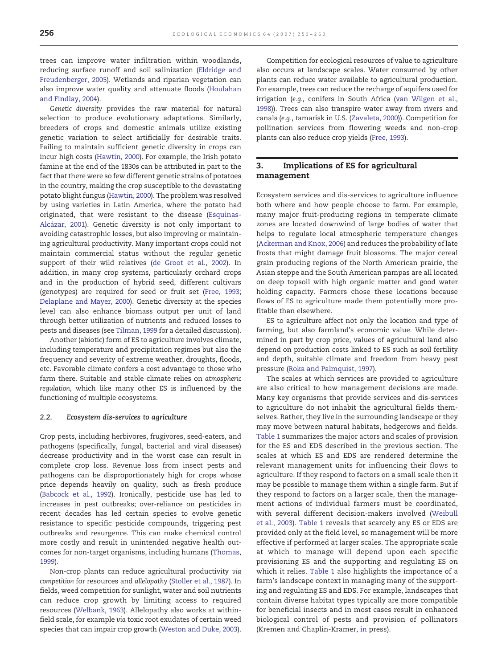trees can improve water infiltration within woodlands, reducing surface runoff and soil salinization ([Eldridge and](#page-6-0) [Freudenberger, 2005\)](#page-6-0). Wetlands and riparian vegetation can also improve water quality and attenuate floods [\(Houlahan](#page-6-0) [and Findlay, 2004](#page-6-0)).

Genetic diversity provides the raw material for natural selection to produce evolutionary adaptations. Similarly, breeders of crops and domestic animals utilize existing genetic variation to select artificially for desirable traits. Failing to maintain sufficient genetic diversity in crops can incur high costs ([Hawtin, 2000\)](#page-6-0). For example, the Irish potato famine at the end of the 1830s can be attributed in part to the fact that there were so few different genetic strains of potatoes in the country, making the crop susceptible to the devastating potato blight fungus [\(Hawtin, 2000](#page-6-0)). The problem was resolved by using varieties in Latin America, where the potato had originated, that were resistant to the disease ([Esquinas-](#page-6-0)[Alcázar, 2001\)](#page-6-0). Genetic diversity is not only important to avoiding catastrophic losses, but also improving or maintaining agricultural productivity. Many important crops could not maintain commercial status without the regular genetic support of their wild relatives [\(de Groot et al., 2002\)](#page-6-0). In addition, in many crop systems, particularly orchard crops and in the production of hybrid seed, different cultivars (genotypes) are required for seed or fruit set [\(Free, 1993;](#page-6-0) [Delaplane and Mayer, 2000](#page-6-0)). Genetic diversity at the species level can also enhance biomass output per unit of land through better utilization of nutrients and reduced losses to pests and diseases (see [Tilman, 1999](#page-7-0) for a detailed discussion).

Another (abiotic) form of ES to agriculture involves climate, including temperature and precipitation regimes but also the frequency and severity of extreme weather, droughts, floods, etc. Favorable climate confers a cost advantage to those who farm there. Suitable and stable climate relies on atmospheric regulation, which like many other ES is influenced by the functioning of multiple ecosystems.

#### 2.2. Ecosystem dis-services to agriculture

Crop pests, including herbivores, frugivores, seed-eaters, and pathogens (specifically, fungal, bacterial and viral diseases) decrease productivity and in the worst case can result in complete crop loss. Revenue loss from insect pests and pathogens can be disproportionately high for crops whose price depends heavily on quality, such as fresh produce ([Babcock et al., 1992](#page-6-0)). Ironically, pesticide use has led to increases in pest outbreaks; over-reliance on pesticides in recent decades has led certain species to evolve genetic resistance to specific pesticide compounds, triggering pest outbreaks and resurgence. This can make chemical control more costly and result in unintended negative health outcomes for non-target organisms, including humans [\(Thomas,](#page-7-0) [1999\)](#page-7-0).

Non-crop plants can reduce agricultural productivity via competition for resources and allelopathy [\(Stoller et al., 1987\)](#page-7-0). In fields, weed competition for sunlight, water and soil nutrients can reduce crop growth by limiting access to required resources ([Welbank, 1963\)](#page-7-0). Allelopathy also works at withinfield scale, for example via toxic root exudates of certain weed species that can impair crop growth ([Weston and Duke, 2003\)](#page-7-0).

Competition for ecological resources of value to agriculture also occurs at landscape scales. Water consumed by other plants can reduce water available to agricultural production. For example, trees can reduce the recharge of aquifers used for irrigation (e.g., conifers in South Africa ([van Wilgen et al.,](#page-7-0) [1998\)](#page-7-0)). Trees can also transpire water away from rivers and canals (e.g., tamarisk in U.S. [\(Zavaleta, 2000](#page-7-0))). Competition for pollination services from flowering weeds and non-crop plants can also reduce crop yields [\(Free, 1993\)](#page-6-0).

#### 3. Implications of ES for agricultural management

Ecosystem services and dis-services to agriculture influence both where and how people choose to farm. For example, many major fruit-producing regions in temperate climate zones are located downwind of large bodies of water that helps to regulate local atmospheric temperature changes ([Ackerman and Knox, 2006\)](#page-6-0) and reduces the probability of late frosts that might damage fruit blossoms. The major cereal grain producing regions of the North American prairie, the Asian steppe and the South American pampas are all located on deep topsoil with high organic matter and good water holding capacity. Farmers chose these locations because flows of ES to agriculture made them potentially more profitable than elsewhere.

ES to agriculture affect not only the location and type of farming, but also farmland's economic value. While determined in part by crop price, values of agricultural land also depend on production costs linked to ES such as soil fertility and depth, suitable climate and freedom from heavy pest pressure ([Roka and Palmquist, 1997](#page-7-0)).

The scales at which services are provided to agriculture are also critical to how management decisions are made. Many key organisms that provide services and dis-services to agriculture do not inhabit the agricultural fields themselves. Rather, they live in the surrounding landscape or they may move between natural habitats, hedgerows and fields. [Table 1](#page-4-0) summarizes the major actors and scales of provision for the ES and EDS described in the previous section. The scales at which ES and EDS are rendered determine the relevant management units for influencing their flows to agriculture. If they respond to factors on a small scale then it may be possible to manage them within a single farm. But if they respond to factors on a larger scale, then the management actions of individual farmers must be coordinated, with several different decision-makers involved ([Weibull](#page-7-0) [et al., 2003](#page-7-0)). [Table 1](#page-4-0) reveals that scarcely any ES or EDS are provided only at the field level, so management will be more effective if performed at larger scales. The appropriate scale at which to manage will depend upon each specific provisioning ES and the supporting and regulating ES on which it relies. [Table 1](#page-4-0) also highlights the importance of a farm's landscape context in managing many of the supporting and regulating ES and EDS. For example, landscapes that contain diverse habitat types typically are more compatible for beneficial insects and in most cases result in enhanced biological control of pests and provision of pollinators (Kremen and Chaplin-Kramer, [in](#page-7-0) press).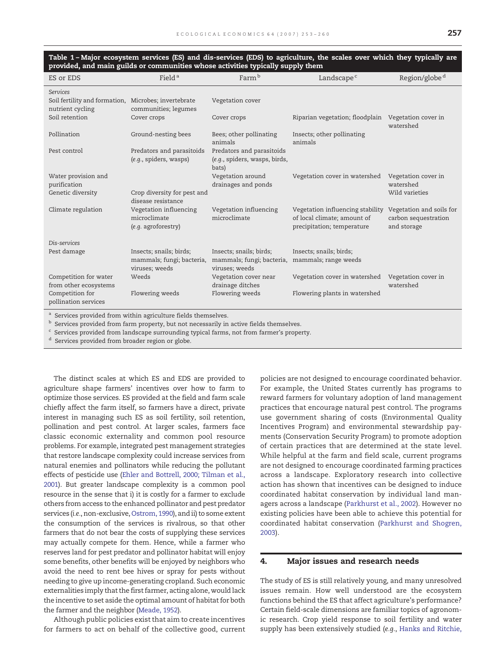#### <span id="page-4-0"></span>Table 1 – Major ecosystem services (ES) and dis-services (EDS) to agriculture, the scales over which they typically are provided, and main guilds or communities whose activities typically supply them

| ES or EDS                                                                | Field <sup>a</sup>                                                     | Farm <sup>b</sup>                                                      | Landscape <sup>c</sup>                          | Region/globe <sup>d</sup>        |
|--------------------------------------------------------------------------|------------------------------------------------------------------------|------------------------------------------------------------------------|-------------------------------------------------|----------------------------------|
| <b>Services</b>                                                          |                                                                        |                                                                        |                                                 |                                  |
| Soil fertility and formation, Microbes; invertebrate<br>nutrient cycling | communities; legumes                                                   | Vegetation cover                                                       |                                                 |                                  |
| Soil retention                                                           | Cover crops                                                            | Cover crops                                                            | Riparian vegetation; floodplain                 | Vegetation cover in<br>watershed |
| Pollination                                                              | Ground-nesting bees                                                    | Bees; other pollinating<br>animals                                     | Insects; other pollinating<br>animals           |                                  |
| Pest control                                                             | Predators and parasitoids                                              | Predators and parasitoids                                              |                                                 |                                  |
|                                                                          | (e.g., spiders, wasps)                                                 | (e.g., spiders, wasps, birds,<br>bats)                                 |                                                 |                                  |
| Water provision and                                                      |                                                                        | Vegetation around                                                      | Vegetation cover in watershed                   | Vegetation cover in              |
| purification                                                             |                                                                        | drainages and ponds                                                    |                                                 | watershed                        |
| Genetic diversity                                                        | Crop diversity for pest and<br>disease resistance                      |                                                                        |                                                 | Wild varieties                   |
| Climate regulation                                                       | Vegetation influencing                                                 | Vegetation influencing                                                 | Vegetation influencing stability                | Vegetation and soils for         |
|                                                                          | microclimate                                                           | microclimate                                                           | of local climate; amount of                     | carbon sequestration             |
|                                                                          | (e.g. agroforestry)                                                    |                                                                        | precipitation; temperature                      | and storage                      |
| Dis-services                                                             |                                                                        |                                                                        |                                                 |                                  |
| Pest damage                                                              | Insects; snails; birds;<br>mammals; fungi; bacteria,<br>viruses; weeds | Insects; snails; birds;<br>mammals; fungi; bacteria,<br>viruses; weeds | Insects; snails; birds;<br>mammals; range weeds |                                  |
| Competition for water<br>from other ecosystems                           | Weeds                                                                  | Vegetation cover near<br>drainage ditches                              | Vegetation cover in watershed                   | Vegetation cover in<br>watershed |
| Competition for<br>pollination services                                  | Flowering weeds                                                        | Flowering weeds                                                        | Flowering plants in watershed                   |                                  |

<sup>a</sup> Services provided from within agriculture fields themselves.

**b** Services provided from farm property, but not necessarily in active fields themselves.

<sup>c</sup> Services provided from landscape surrounding typical farms, not from farmer's property.

<sup>d</sup> Services provided from broader region or globe.

The distinct scales at which ES and EDS are provided to agriculture shape farmers' incentives over how to farm to optimize those services. ES provided at the field and farm scale chiefly affect the farm itself, so farmers have a direct, private interest in managing such ES as soil fertility, soil retention, pollination and pest control. At larger scales, farmers face classic economic externality and common pool resource problems. For example, integrated pest management strategies that restore landscape complexity could increase services from natural enemies and pollinators while reducing the pollutant effects of pesticide use [\(Ehler and Bottrell, 2000; Tilman et al.,](#page-6-0) [2001](#page-6-0)). But greater landscape complexity is a common pool resource in the sense that i) it is costly for a farmer to exclude others from access to the enhanced pollinator and pest predator services (i.e., non-exclusive, [Ostrom, 1990](#page-7-0)), and ii) to some extent the consumption of the services is rivalrous, so that other farmers that do not bear the costs of supplying these services may actually compete for them. Hence, while a farmer who reserves land for pest predator and pollinator habitat will enjoy some benefits, other benefits will be enjoyed by neighbors who avoid the need to rent bee hives or spray for pests without needing to give up income-generating cropland. Such economic externalities imply that the first farmer, acting alone, would lack the incentive to set aside the optimal amount of habitat for both the farmer and the neighbor [\(Meade, 1952\)](#page-7-0).

Although public policies exist that aim to create incentives for farmers to act on behalf of the collective good, current

policies are not designed to encourage coordinated behavior. For example, the United States currently has programs to reward farmers for voluntary adoption of land management practices that encourage natural pest control. The programs use government sharing of costs (Environmental Quality Incentives Program) and environmental stewardship payments (Conservation Security Program) to promote adoption of certain practices that are determined at the state level. While helpful at the farm and field scale, current programs are not designed to encourage coordinated farming practices across a landscape. Exploratory research into collective action has shown that incentives can be designed to induce coordinated habitat conservation by individual land managers across a landscape [\(Parkhurst et al., 2002\)](#page-7-0). However no existing policies have been able to achieve this potential for coordinated habitat conservation [\(Parkhurst and Shogren,](#page-7-0) [2003\)](#page-7-0).

#### 4. Major issues and research needs

The study of ES is still relatively young, and many unresolved issues remain. How well understood are the ecosystem functions behind the ES that affect agriculture's performance? Certain field-scale dimensions are familiar topics of agronomic research. Crop yield response to soil fertility and water supply has been extensively studied (e.g., [Hanks and Ritchie,](#page-6-0)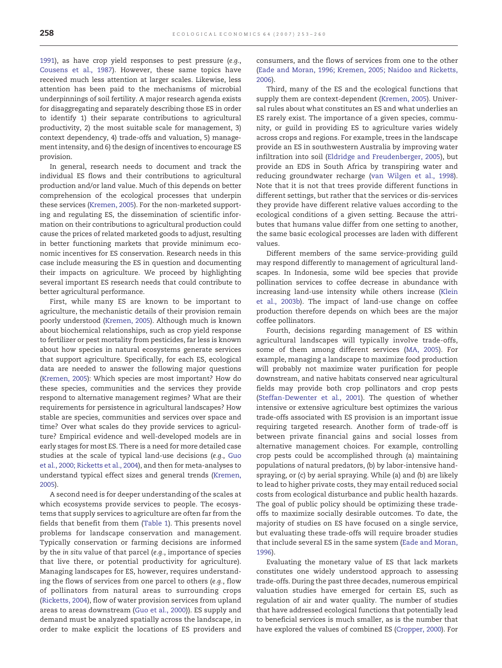[1991\)](#page-6-0), as have crop yield responses to pest pressure (e.g., [Cousens et al., 1987](#page-6-0)). However, these same topics have received much less attention at larger scales. Likewise, less attention has been paid to the mechanisms of microbial underpinnings of soil fertility. A major research agenda exists for disaggregating and separately describing those ES in order to identify 1) their separate contributions to agricultural productivity, 2) the most suitable scale for management, 3) context dependency, 4) trade-offs and valuation, 5) management intensity, and 6) the design of incentives to encourage ES provision.

In general, research needs to document and track the individual ES flows and their contributions to agricultural production and/or land value. Much of this depends on better comprehension of the ecological processes that underpin these services [\(Kremen, 2005\)](#page-7-0). For the non-marketed supporting and regulating ES, the dissemination of scientific information on their contributions to agricultural production could cause the prices of related marketed goods to adjust, resulting in better functioning markets that provide minimum economic incentives for ES conservation. Research needs in this case include measuring the ES in question and documenting their impacts on agriculture. We proceed by highlighting several important ES research needs that could contribute to better agricultural performance.

First, while many ES are known to be important to agriculture, the mechanistic details of their provision remain poorly understood ([Kremen, 2005](#page-7-0)). Although much is known about biochemical relationships, such as crop yield response to fertilizer or pest mortality from pesticides, far less is known about how species in natural ecosystems generate services that support agriculture. Specifically, for each ES, ecological data are needed to answer the following major questions ([Kremen, 2005](#page-7-0)): Which species are most important? How do these species, communities and the services they provide respond to alternative management regimes? What are their requirements for persistence in agricultural landscapes? How stable are species, communities and services over space and time? Over what scales do they provide services to agriculture? Empirical evidence and well-developed models are in early stages for most ES. There is a need for more detailed case studies at the scale of typical land-use decisions (e.g., [Guo](#page-6-0) [et al., 2000; Ricketts et al., 2004\)](#page-6-0), and then for meta-analyses to understand typical effect sizes and general trends [\(Kremen,](#page-7-0) [2005\)](#page-7-0).

A second need is for deeper understanding of the scales at which ecosystems provide services to people. The ecosystems that supply services to agriculture are often far from the fields that benefit from them [\(Table 1\)](#page-4-0). This presents novel problems for landscape conservation and management. Typically conservation or farming decisions are informed by the in situ value of that parcel (e.g., importance of species that live there, or potential productivity for agriculture). Managing landscapes for ES, however, requires understanding the flows of services from one parcel to others (e.g., flow of pollinators from natural areas to surrounding crops ([Ricketts, 2004\)](#page-7-0), flow of water provision services from upland areas to areas downstream [\(Guo et al., 2000\)](#page-6-0)). ES supply and demand must be analyzed spatially across the landscape, in order to make explicit the locations of ES providers and

consumers, and the flows of services from one to the other ([Eade and Moran, 1996; Kremen, 2005; Naidoo and Ricketts,](#page-6-0) [2006](#page-6-0)).

Third, many of the ES and the ecological functions that supply them are context-dependent [\(Kremen, 2005](#page-7-0)). Universal rules about what constitutes an ES and what underlies an ES rarely exist. The importance of a given species, community, or guild in providing ES to agriculture varies widely across crops and regions. For example, trees in the landscape provide an ES in southwestern Australia by improving water infiltration into soil ([Eldridge and Freudenberger, 2005\)](#page-6-0), but provide an EDS in South Africa by transpiring water and reducing groundwater recharge ([van Wilgen et al., 1998\)](#page-7-0). Note that it is not that trees provide different functions in different settings, but rather that the services or dis-services they provide have different relative values according to the ecological conditions of a given setting. Because the attributes that humans value differ from one setting to another, the same basic ecological processes are laden with different values.

Different members of the same service-providing guild may respond differently to management of agricultural landscapes. In Indonesia, some wild bee species that provide pollination services to coffee decrease in abundance with increasing land-use intensity while others increase [\(Klein](#page-6-0) [et al., 2003b](#page-6-0)). The impact of land-use change on coffee production therefore depends on which bees are the major coffee pollinators.

Fourth, decisions regarding management of ES within agricultural landscapes will typically involve trade-offs, some of them among different services ([MA, 2005\)](#page-7-0). For example, managing a landscape to maximize food production will probably not maximize water purification for people downstream, and native habitats conserved near agricultural fields may provide both crop pollinators and crop pests ([Steffan-Dewenter et al., 2001](#page-7-0)). The question of whether intensive or extensive agriculture best optimizes the various trade-offs associated with ES provision is an important issue requiring targeted research. Another form of trade-off is between private financial gains and social losses from alternative management choices. For example, controlling crop pests could be accomplished through (a) maintaining populations of natural predators, (b) by labor-intensive handspraying, or (c) by aerial spraying. While (a) and (b) are likely to lead to higher private costs, they may entail reduced social costs from ecological disturbance and public health hazards. The goal of public policy should be optimizing these tradeoffs to maximize socially desirable outcomes. To date, the majority of studies on ES have focused on a single service, but evaluating these trade-offs will require broader studies that include several ES in the same system ([Eade and Moran,](#page-6-0) [1996](#page-6-0)).

Evaluating the monetary value of ES that lack markets constitutes one widely understood approach to assessing trade-offs. During the past three decades, numerous empirical valuation studies have emerged for certain ES, such as regulation of air and water quality. The number of studies that have addressed ecological functions that potentially lead to beneficial services is much smaller, as is the number that have explored the values of combined ES [\(Cropper, 2000\)](#page-6-0). For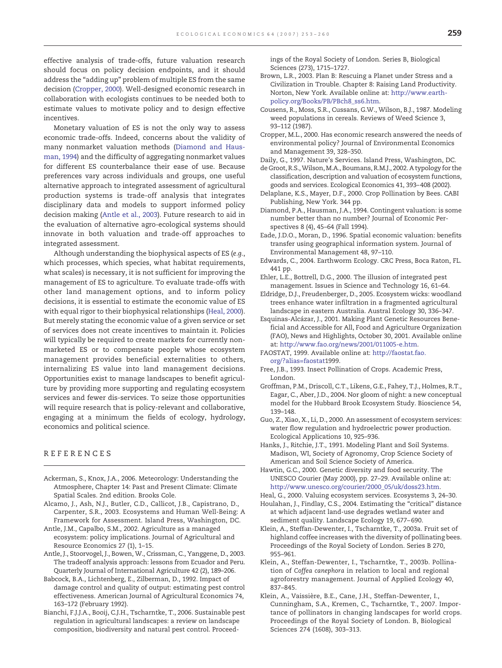<span id="page-6-0"></span>effective analysis of trade-offs, future valuation research should focus on policy decision endpoints, and it should address the "adding up" problem of multiple ES from the same decision (Cropper, 2000). Well-designed economic research in collaboration with ecologists continues to be needed both to estimate values to motivate policy and to design effective incentives.

Monetary valuation of ES is not the only way to assess economic trade-offs. Indeed, concerns about the validity of many nonmarket valuation methods (Diamond and Hausman, 1994) and the difficulty of aggregating nonmarket values for different ES counterbalance their ease of use. Because preferences vary across individuals and groups, one useful alternative approach to integrated assessment of agricultural production systems is trade-off analysis that integrates disciplinary data and models to support informed policy decision making (Antle et al., 2003). Future research to aid in the evaluation of alternative agro-ecological systems should innovate in both valuation and trade-off approaches to integrated assessment.

Although understanding the biophysical aspects of ES (e.g., which processes, which species, what habitat requirements, what scales) is necessary, it is not sufficient for improving the management of ES to agriculture. To evaluate trade-offs with other land management options, and to inform policy decisions, it is essential to estimate the economic value of ES with equal rigor to their biophysical relationships (Heal, 2000). But merely stating the economic value of a given service or set of services does not create incentives to maintain it. Policies will typically be required to create markets for currently nonmarketed ES or to compensate people whose ecosystem management provides beneficial externalities to others, internalizing ES value into land management decisions. Opportunities exist to manage landscapes to benefit agriculture by providing more supporting and regulating ecosystem services and fewer dis-services. To seize those opportunities will require research that is policy-relevant and collaborative, engaging at a minimum the fields of ecology, hydrology, economics and political science.

#### REFERENCES

- Ackerman, S., Knox, J.A., 2006. Meteorology: Understanding the Atmosphere, Chapter 14: Past and Present Climate: Climate Spatial Scales. 2nd edition. Brooks Cole.
- Alcamo, J., Ash, N.J., Butler, C.D., Callicot, J.B., Capistrano, D., Carpenter, S.R., 2003. Ecosystems and Human Well-Being: A Framework for Assessment. Island Press, Washington, DC.
- Antle, J.M., Capalbo, S.M., 2002. Agriculture as a managed ecosystem: policy implications. Journal of Agricultural and Resource Economics 27 (1), 1–15.
- Antle, J., Stoorvogel, J., Bowen, W., Crissman, C., Yanggene, D., 2003. The tradeoff analysis approach: lessons from Ecuador and Peru. Quarterly Journal of International Agriculture 42 (2), 189–206.
- Babcock, B.A., Lichtenberg, E., Zilberman, D., 1992. Impact of damage control and quality of output: estimating pest control effectiveness. American Journal of Agricultural Economics 74, 163–172 (February 1992).
- Bianchi, F.J.J.A., Booij, C.J.H., Tscharntke, T., 2006. Sustainable pest regulation in agricultural landscapes: a review on landscape composition, biodiversity and natural pest control. Proceed-

ings of the Royal Society of London. Series B, Biological Sciences (273), 1715–1727.

- Brown, L.R., 2003. Plan B: Rescuing a Planet under Stress and a Civilization in Trouble. Chapter 8: Raising Land Productivity. Norton, New York. Available online at: [http://www.earth](http://www.earth-policy.org/Books/PB/PBch8_ss6.htm)[policy.org/Books/PB/PBch8\\_ss6.htm.](http://www.earth-policy.org/Books/PB/PBch8_ss6.htm)
- Cousens, R., Moss, S.R., Cussans, G.W., Wilson, B.J., 1987. Modeling weed populations in cereals. Reviews of Weed Science 3, 93–112 (1987).
- Cropper, M.L., 2000. Has economic research answered the needs of environmental policy? Journal of Environmental Economics and Management 39, 328–350.
- Daily, G., 1997. Nature's Services. Island Press, Washington, DC.
- de Groot, R.S.,Wilson, M.A., Boumans, R.M.J., 2002. A typology for the classification, description and valuation of ecosystem functions, goods and services. Ecological Economics 41, 393–408 (2002).
- Delaplane, K.S., Mayer, D.F., 2000. Crop Pollination by Bees. CABI Publishing, New York. 344 pp.
- Diamond, P.A., Hausman, J.A., 1994. Contingent valuation: is some number better than no number? Journal of Economic Perspectives 8 (4), 45–64 (Fall 1994).
- Eade, J.D.O., Moran, D., 1996. Spatial economic valuation: benefits transfer using geographical information system. Journal of Environmental Management 48, 97–110.
- Edwards, C., 2004. Earthworm Ecology. CRC Press, Boca Raton, FL. 441 pp.
- Ehler, L.E., Bottrell, D.G., 2000. The illusion of integrated pest management. Issues in Science and Technology 16, 61–64.
- Eldridge, D.J., Freudenberger, D., 2005. Ecosystem wicks: woodland trees enhance water infiltration in a fragmented agricultural landscape in eastern Australia. Austral Ecology 30, 336–347.
- Esquinas-Alcázar, J., 2001. Making Plant Genetic Resources Beneficial and Accessible for All, Food and Agriculture Organization (FAO), News and Highlights, October 30, 2001. Available online at: <http://www.fao.org/news/2001/011005-e.htm>.
- FAOSTAT, 1999. Available online at: [http://faostat.fao.](http://faostat.fao.org/?alias=faostat) [org/?alias=faostat1](http://faostat.fao.org/?alias=faostat)999.
- Free, J.B., 1993. Insect Pollination of Crops. Academic Press, London.
- Groffman, P.M., Driscoll, C.T., Likens, G.E., Fahey, T.J., Holmes, R.T., Eagar, C., Aber, J.D., 2004. Nor gloom of night: a new conceptual model for the Hubbard Brook Ecosystem Study. Bioscience 54, 139–148.
- Guo, Z., Xiao, X., Li, D., 2000. An assessment of ecosystem services: water flow regulation and hydroelectric power production. Ecological Applications 10, 925–936.
- Hanks, J., Ritchie, J.T., 1991. Modeling Plant and Soil Systems. Madison, WI, Society of Agronomy, Crop Science Society of American and Soil Science Society of America.
- Hawtin, G.C., 2000. Genetic diversity and food security. The UNESCO Courier (May 2000), pp. 27–29. Available online at: [http://www.unesco.org/courier/2000\\_05/uk/doss23.htm](http://www.unesco.org/courier/2000_05/uk/doss23.htm).
- Heal, G., 2000. Valuing ecosystem services. Ecosystems 3, 24–30.
- Houlahan, J., Findlay, C.S., 2004. Estimating the "critical" distance at which adjacent land-use degrades wetland water and sediment quality. Landscape Ecology 19, 677–690.
- Klein, A., Steffan-Dewenter, I., Tscharntke, T., 2003a. Fruit set of highland coffee increases with the diversity of pollinating bees. Proceedings of the Royal Society of London. Series B 270, 955–961.
- Klein, A., Steffan-Dewenter, I., Tscharntke, T., 2003b. Pollination of Coffea canephora in relation to local and regional agroforestry management. Journal of Applied Ecology 40, 837–845.
- Klein, A., Vaissière, B.E., Cane, J.H., Steffan-Dewenter, I., Cunningham, S.A., Kremen, C., Tscharntke, T., 2007. Importance of pollinators in changing landscapes for world crops. Proceedings of the Royal Society of London. B, Biological Sciences 274 (1608), 303–313.